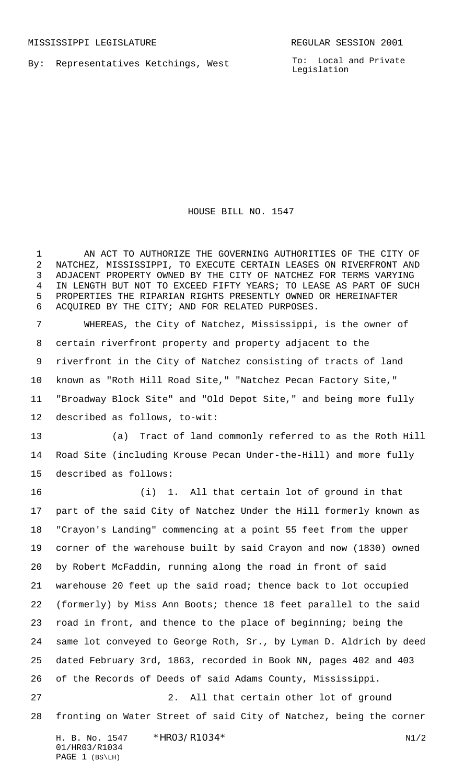By: Representatives Ketchings, West

To: Local and Private Legislation

## HOUSE BILL NO. 1547

 AN ACT TO AUTHORIZE THE GOVERNING AUTHORITIES OF THE CITY OF NATCHEZ, MISSISSIPPI, TO EXECUTE CERTAIN LEASES ON RIVERFRONT AND ADJACENT PROPERTY OWNED BY THE CITY OF NATCHEZ FOR TERMS VARYING IN LENGTH BUT NOT TO EXCEED FIFTY YEARS; TO LEASE AS PART OF SUCH PROPERTIES THE RIPARIAN RIGHTS PRESENTLY OWNED OR HEREINAFTER ACQUIRED BY THE CITY; AND FOR RELATED PURPOSES.

 WHEREAS, the City of Natchez, Mississippi, is the owner of certain riverfront property and property adjacent to the riverfront in the City of Natchez consisting of tracts of land known as "Roth Hill Road Site," "Natchez Pecan Factory Site," "Broadway Block Site" and "Old Depot Site," and being more fully described as follows, to-wit:

 (a) Tract of land commonly referred to as the Roth Hill Road Site (including Krouse Pecan Under-the-Hill) and more fully described as follows:

 (i) 1. All that certain lot of ground in that part of the said City of Natchez Under the Hill formerly known as "Crayon's Landing" commencing at a point 55 feet from the upper corner of the warehouse built by said Crayon and now (1830) owned by Robert McFaddin, running along the road in front of said warehouse 20 feet up the said road; thence back to lot occupied (formerly) by Miss Ann Boots; thence 18 feet parallel to the said road in front, and thence to the place of beginning; being the same lot conveyed to George Roth, Sr., by Lyman D. Aldrich by deed dated February 3rd, 1863, recorded in Book NN, pages 402 and 403 of the Records of Deeds of said Adams County, Mississippi. 2. All that certain other lot of ground

fronting on Water Street of said City of Natchez, being the corner

H. B. No. 1547 \* HRO3/R1034\* N1/2 01/HR03/R1034 PAGE 1 (BS\LH)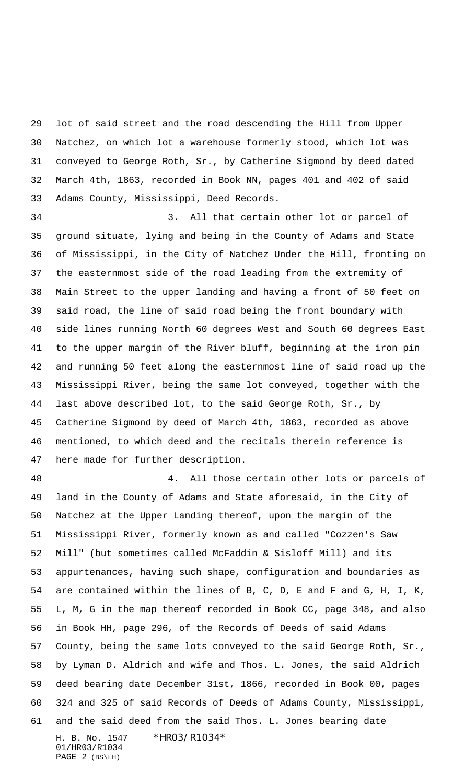lot of said street and the road descending the Hill from Upper Natchez, on which lot a warehouse formerly stood, which lot was conveyed to George Roth, Sr., by Catherine Sigmond by deed dated March 4th, 1863, recorded in Book NN, pages 401 and 402 of said Adams County, Mississippi, Deed Records.

 3. All that certain other lot or parcel of ground situate, lying and being in the County of Adams and State of Mississippi, in the City of Natchez Under the Hill, fronting on the easternmost side of the road leading from the extremity of Main Street to the upper landing and having a front of 50 feet on said road, the line of said road being the front boundary with side lines running North 60 degrees West and South 60 degrees East to the upper margin of the River bluff, beginning at the iron pin and running 50 feet along the easternmost line of said road up the Mississippi River, being the same lot conveyed, together with the last above described lot, to the said George Roth, Sr., by Catherine Sigmond by deed of March 4th, 1863, recorded as above mentioned, to which deed and the recitals therein reference is here made for further description.

H. B. No. 1547 \*HR03/R1034\* 01/HR03/R1034 PAGE 2 (BS\LH) 4. All those certain other lots or parcels of land in the County of Adams and State aforesaid, in the City of Natchez at the Upper Landing thereof, upon the margin of the Mississippi River, formerly known as and called "Cozzen's Saw Mill" (but sometimes called McFaddin & Sisloff Mill) and its appurtenances, having such shape, configuration and boundaries as are contained within the lines of B, C, D, E and F and G, H, I, K, L, M, G in the map thereof recorded in Book CC, page 348, and also in Book HH, page 296, of the Records of Deeds of said Adams County, being the same lots conveyed to the said George Roth, Sr., by Lyman D. Aldrich and wife and Thos. L. Jones, the said Aldrich deed bearing date December 31st, 1866, recorded in Book 00, pages 324 and 325 of said Records of Deeds of Adams County, Mississippi, and the said deed from the said Thos. L. Jones bearing date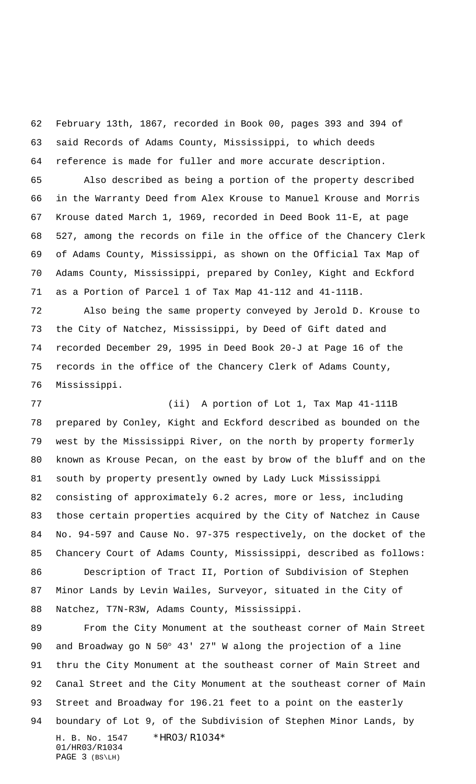February 13th, 1867, recorded in Book 00, pages 393 and 394 of said Records of Adams County, Mississippi, to which deeds reference is made for fuller and more accurate description.

 Also described as being a portion of the property described in the Warranty Deed from Alex Krouse to Manuel Krouse and Morris Krouse dated March 1, 1969, recorded in Deed Book 11-E, at page 527, among the records on file in the office of the Chancery Clerk of Adams County, Mississippi, as shown on the Official Tax Map of Adams County, Mississippi, prepared by Conley, Kight and Eckford as a Portion of Parcel 1 of Tax Map 41-112 and 41-111B.

 Also being the same property conveyed by Jerold D. Krouse to the City of Natchez, Mississippi, by Deed of Gift dated and recorded December 29, 1995 in Deed Book 20-J at Page 16 of the records in the office of the Chancery Clerk of Adams County, Mississippi.

 (ii) A portion of Lot 1, Tax Map 41-111B prepared by Conley, Kight and Eckford described as bounded on the west by the Mississippi River, on the north by property formerly known as Krouse Pecan, on the east by brow of the bluff and on the south by property presently owned by Lady Luck Mississippi consisting of approximately 6.2 acres, more or less, including those certain properties acquired by the City of Natchez in Cause No. 94-597 and Cause No. 97-375 respectively, on the docket of the Chancery Court of Adams County, Mississippi, described as follows: Description of Tract II, Portion of Subdivision of Stephen Minor Lands by Levin Wailes, Surveyor, situated in the City of Natchez, T7N-R3W, Adams County, Mississippi.

H. B. No. 1547 \*HR03/R1034\* 01/HR03/R1034 PAGE 3 (BS\LH) From the City Monument at the southeast corner of Main Street and Broadway go N 50° 43' 27" W along the projection of a line thru the City Monument at the southeast corner of Main Street and Canal Street and the City Monument at the southeast corner of Main Street and Broadway for 196.21 feet to a point on the easterly boundary of Lot 9, of the Subdivision of Stephen Minor Lands, by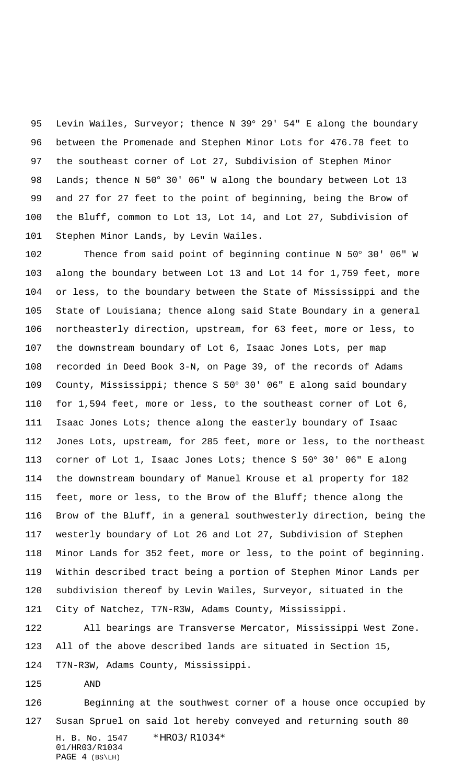95 Levin Wailes, Surveyor; thence N 39° 29' 54" E along the boundary between the Promenade and Stephen Minor Lots for 476.78 feet to the southeast corner of Lot 27, Subdivision of Stephen Minor Lands; thence N 50° 30' 06" W along the boundary between Lot 13 and 27 for 27 feet to the point of beginning, being the Brow of the Bluff, common to Lot 13, Lot 14, and Lot 27, Subdivision of Stephen Minor Lands, by Levin Wailes.

 Thence from said point of beginning continue N 50° 30' 06" W along the boundary between Lot 13 and Lot 14 for 1,759 feet, more or less, to the boundary between the State of Mississippi and the State of Louisiana; thence along said State Boundary in a general northeasterly direction, upstream, for 63 feet, more or less, to the downstream boundary of Lot 6, Isaac Jones Lots, per map recorded in Deed Book 3-N, on Page 39, of the records of Adams County, Mississippi; thence S 50° 30' 06" E along said boundary for 1,594 feet, more or less, to the southeast corner of Lot 6, Isaac Jones Lots; thence along the easterly boundary of Isaac Jones Lots, upstream, for 285 feet, more or less, to the northeast corner of Lot 1, Isaac Jones Lots; thence S 50° 30' 06" E along the downstream boundary of Manuel Krouse et al property for 182 feet, more or less, to the Brow of the Bluff; thence along the Brow of the Bluff, in a general southwesterly direction, being the westerly boundary of Lot 26 and Lot 27, Subdivision of Stephen Minor Lands for 352 feet, more or less, to the point of beginning. Within described tract being a portion of Stephen Minor Lands per subdivision thereof by Levin Wailes, Surveyor, situated in the City of Natchez, T7N-R3W, Adams County, Mississippi.

 All bearings are Transverse Mercator, Mississippi West Zone. All of the above described lands are situated in Section 15, T7N-R3W, Adams County, Mississippi.

AND

H. B. No. 1547 \*HR03/R1034\* 01/HR03/R1034 PAGE 4 (BS\LH) Beginning at the southwest corner of a house once occupied by Susan Spruel on said lot hereby conveyed and returning south 80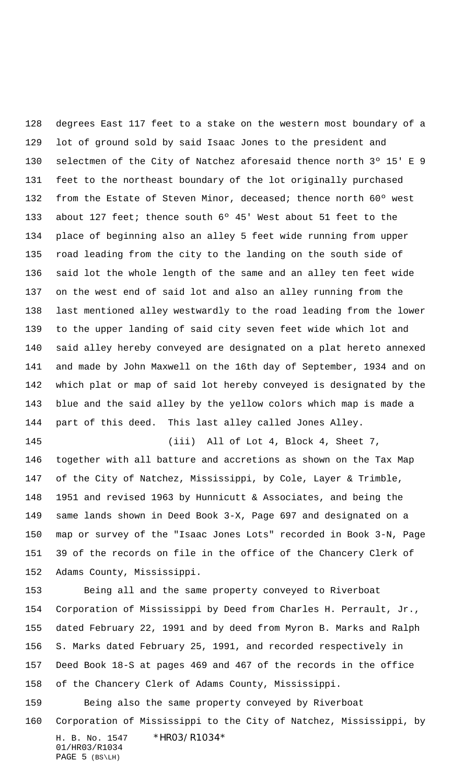degrees East 117 feet to a stake on the western most boundary of a lot of ground sold by said Isaac Jones to the president and selectmen of the City of Natchez aforesaid thence north 3º 15' E 9 feet to the northeast boundary of the lot originally purchased 132 from the Estate of Steven Minor, deceased; thence north 60° west about 127 feet; thence south 6º 45' West about 51 feet to the place of beginning also an alley 5 feet wide running from upper road leading from the city to the landing on the south side of said lot the whole length of the same and an alley ten feet wide on the west end of said lot and also an alley running from the last mentioned alley westwardly to the road leading from the lower to the upper landing of said city seven feet wide which lot and said alley hereby conveyed are designated on a plat hereto annexed and made by John Maxwell on the 16th day of September, 1934 and on which plat or map of said lot hereby conveyed is designated by the blue and the said alley by the yellow colors which map is made a part of this deed. This last alley called Jones Alley. (iii) All of Lot 4, Block 4, Sheet 7,

 together with all batture and accretions as shown on the Tax Map of the City of Natchez, Mississippi, by Cole, Layer & Trimble, 1951 and revised 1963 by Hunnicutt & Associates, and being the same lands shown in Deed Book 3-X, Page 697 and designated on a map or survey of the "Isaac Jones Lots" recorded in Book 3-N, Page 39 of the records on file in the office of the Chancery Clerk of Adams County, Mississippi.

 Being all and the same property conveyed to Riverboat Corporation of Mississippi by Deed from Charles H. Perrault, Jr., dated February 22, 1991 and by deed from Myron B. Marks and Ralph S. Marks dated February 25, 1991, and recorded respectively in Deed Book 18-S at pages 469 and 467 of the records in the office of the Chancery Clerk of Adams County, Mississippi.

H. B. No. 1547 \*HR03/R1034\* 01/HR03/R1034 PAGE 5 (BS\LH) Corporation of Mississippi to the City of Natchez, Mississippi, by

Being also the same property conveyed by Riverboat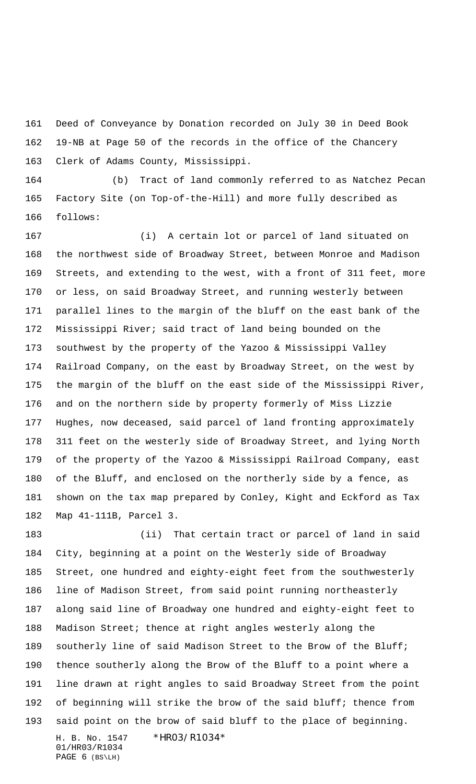Deed of Conveyance by Donation recorded on July 30 in Deed Book 19-NB at Page 50 of the records in the office of the Chancery Clerk of Adams County, Mississippi.

 (b) Tract of land commonly referred to as Natchez Pecan Factory Site (on Top-of-the-Hill) and more fully described as follows:

 (i) A certain lot or parcel of land situated on the northwest side of Broadway Street, between Monroe and Madison Streets, and extending to the west, with a front of 311 feet, more or less, on said Broadway Street, and running westerly between parallel lines to the margin of the bluff on the east bank of the Mississippi River; said tract of land being bounded on the southwest by the property of the Yazoo & Mississippi Valley Railroad Company, on the east by Broadway Street, on the west by the margin of the bluff on the east side of the Mississippi River, and on the northern side by property formerly of Miss Lizzie Hughes, now deceased, said parcel of land fronting approximately 311 feet on the westerly side of Broadway Street, and lying North of the property of the Yazoo & Mississippi Railroad Company, east of the Bluff, and enclosed on the northerly side by a fence, as shown on the tax map prepared by Conley, Kight and Eckford as Tax Map 41-111B, Parcel 3.

H. B. No. 1547 \*HR03/R1034\* (ii) That certain tract or parcel of land in said City, beginning at a point on the Westerly side of Broadway Street, one hundred and eighty-eight feet from the southwesterly line of Madison Street, from said point running northeasterly along said line of Broadway one hundred and eighty-eight feet to Madison Street; thence at right angles westerly along the 189 southerly line of said Madison Street to the Brow of the Bluff; thence southerly along the Brow of the Bluff to a point where a line drawn at right angles to said Broadway Street from the point of beginning will strike the brow of the said bluff; thence from said point on the brow of said bluff to the place of beginning.

01/HR03/R1034 PAGE 6 (BS\LH)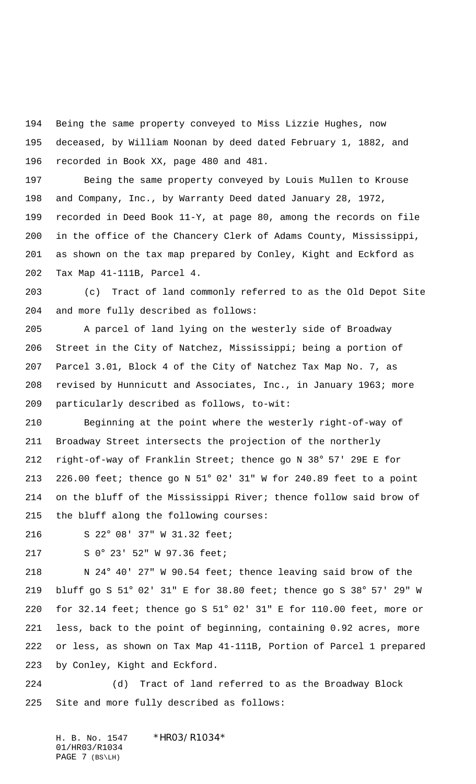Being the same property conveyed to Miss Lizzie Hughes, now deceased, by William Noonan by deed dated February 1, 1882, and recorded in Book XX, page 480 and 481.

 Being the same property conveyed by Louis Mullen to Krouse and Company, Inc., by Warranty Deed dated January 28, 1972, recorded in Deed Book 11-Y, at page 80, among the records on file in the office of the Chancery Clerk of Adams County, Mississippi, as shown on the tax map prepared by Conley, Kight and Eckford as Tax Map 41-111B, Parcel 4.

 (c) Tract of land commonly referred to as the Old Depot Site and more fully described as follows:

 A parcel of land lying on the westerly side of Broadway Street in the City of Natchez, Mississippi; being a portion of Parcel 3.01, Block 4 of the City of Natchez Tax Map No. 7, as revised by Hunnicutt and Associates, Inc., in January 1963; more particularly described as follows, to-wit:

 Beginning at the point where the westerly right-of-way of Broadway Street intersects the projection of the northerly right-of-way of Franklin Street; thence go N 38° 57' 29E E for 226.00 feet; thence go N 51° 02' 31" W for 240.89 feet to a point on the bluff of the Mississippi River; thence follow said brow of the bluff along the following courses:

S 22° 08' 37" W 31.32 feet;

S 0° 23' 52" W 97.36 feet;

 N 24° 40' 27" W 90.54 feet; thence leaving said brow of the bluff go S 51° 02' 31" E for 38.80 feet; thence go S 38° 57' 29" W for 32.14 feet; thence go S 51° 02' 31" E for 110.00 feet, more or less, back to the point of beginning, containing 0.92 acres, more or less, as shown on Tax Map 41-111B, Portion of Parcel 1 prepared by Conley, Kight and Eckford.

 (d) Tract of land referred to as the Broadway Block Site and more fully described as follows:

H. B. No. 1547 \* HRO3/R1O34\* 01/HR03/R1034 PAGE 7 (BS\LH)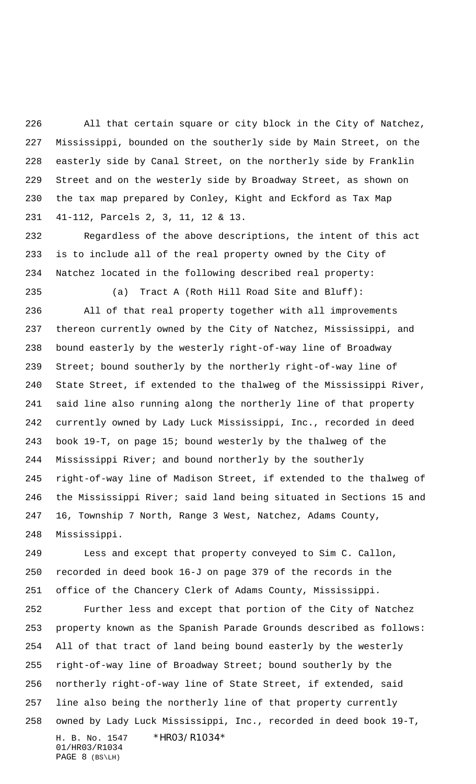All that certain square or city block in the City of Natchez, Mississippi, bounded on the southerly side by Main Street, on the easterly side by Canal Street, on the northerly side by Franklin Street and on the westerly side by Broadway Street, as shown on the tax map prepared by Conley, Kight and Eckford as Tax Map 41-112, Parcels 2, 3, 11, 12 & 13.

 Regardless of the above descriptions, the intent of this act is to include all of the real property owned by the City of Natchez located in the following described real property:

 (a) Tract A (Roth Hill Road Site and Bluff): All of that real property together with all improvements thereon currently owned by the City of Natchez, Mississippi, and bound easterly by the westerly right-of-way line of Broadway Street; bound southerly by the northerly right-of-way line of State Street, if extended to the thalweg of the Mississippi River, said line also running along the northerly line of that property currently owned by Lady Luck Mississippi, Inc., recorded in deed book 19-T, on page 15; bound westerly by the thalweg of the Mississippi River; and bound northerly by the southerly right-of-way line of Madison Street, if extended to the thalweg of the Mississippi River; said land being situated in Sections 15 and 16, Township 7 North, Range 3 West, Natchez, Adams County, Mississippi.

 Less and except that property conveyed to Sim C. Callon, recorded in deed book 16-J on page 379 of the records in the office of the Chancery Clerk of Adams County, Mississippi.

H. B. No. 1547 \*HR03/R1034\* 01/HR03/R1034 PAGE 8 (BS\LH) Further less and except that portion of the City of Natchez property known as the Spanish Parade Grounds described as follows: All of that tract of land being bound easterly by the westerly right-of-way line of Broadway Street; bound southerly by the northerly right-of-way line of State Street, if extended, said line also being the northerly line of that property currently owned by Lady Luck Mississippi, Inc., recorded in deed book 19-T,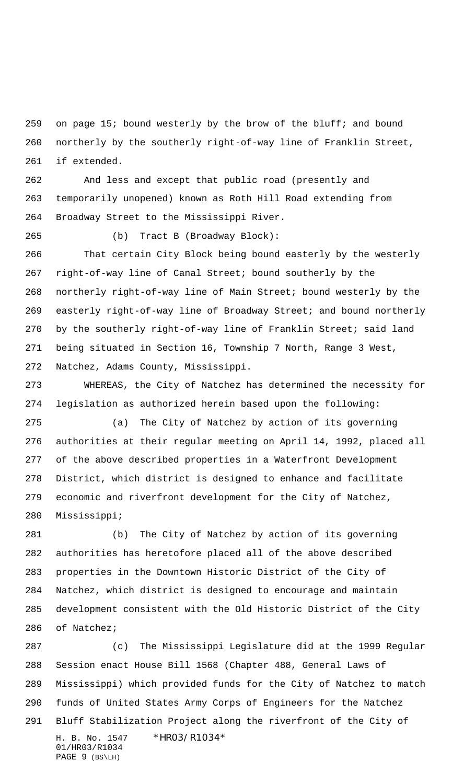on page 15; bound westerly by the brow of the bluff; and bound northerly by the southerly right-of-way line of Franklin Street, if extended.

 And less and except that public road (presently and temporarily unopened) known as Roth Hill Road extending from Broadway Street to the Mississippi River.

(b) Tract B (Broadway Block):

 That certain City Block being bound easterly by the westerly right-of-way line of Canal Street; bound southerly by the northerly right-of-way line of Main Street; bound westerly by the easterly right-of-way line of Broadway Street; and bound northerly by the southerly right-of-way line of Franklin Street; said land being situated in Section 16, Township 7 North, Range 3 West, Natchez, Adams County, Mississippi.

 WHEREAS, the City of Natchez has determined the necessity for legislation as authorized herein based upon the following:

 (a) The City of Natchez by action of its governing authorities at their regular meeting on April 14, 1992, placed all of the above described properties in a Waterfront Development District, which district is designed to enhance and facilitate economic and riverfront development for the City of Natchez, Mississippi;

 (b) The City of Natchez by action of its governing authorities has heretofore placed all of the above described properties in the Downtown Historic District of the City of Natchez, which district is designed to encourage and maintain development consistent with the Old Historic District of the City of Natchez;

H. B. No. 1547 \* HRO3/R1034\* 01/HR03/R1034 PAGE 9 (BS\LH) (c) The Mississippi Legislature did at the 1999 Regular Session enact House Bill 1568 (Chapter 488, General Laws of Mississippi) which provided funds for the City of Natchez to match funds of United States Army Corps of Engineers for the Natchez Bluff Stabilization Project along the riverfront of the City of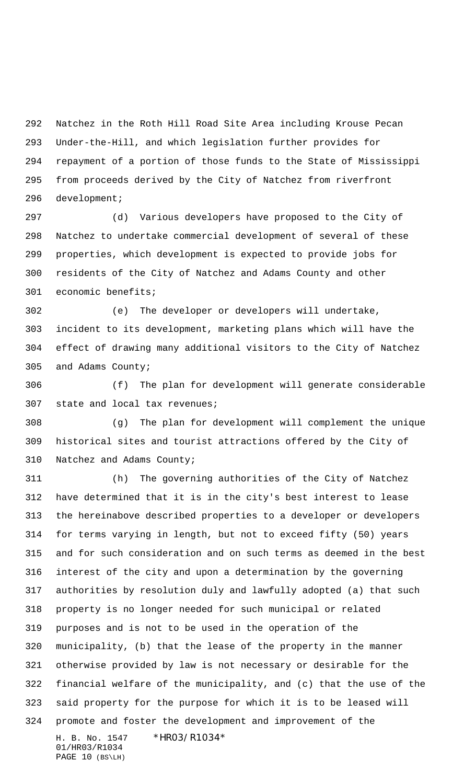Natchez in the Roth Hill Road Site Area including Krouse Pecan Under-the-Hill, and which legislation further provides for repayment of a portion of those funds to the State of Mississippi from proceeds derived by the City of Natchez from riverfront development;

 (d) Various developers have proposed to the City of Natchez to undertake commercial development of several of these properties, which development is expected to provide jobs for residents of the City of Natchez and Adams County and other economic benefits;

 (e) The developer or developers will undertake, incident to its development, marketing plans which will have the effect of drawing many additional visitors to the City of Natchez and Adams County;

 (f) The plan for development will generate considerable state and local tax revenues;

 (g) The plan for development will complement the unique historical sites and tourist attractions offered by the City of Natchez and Adams County;

H. B. No. 1547 \*HR03/R1034\* 01/HR03/R1034 (h) The governing authorities of the City of Natchez have determined that it is in the city's best interest to lease the hereinabove described properties to a developer or developers for terms varying in length, but not to exceed fifty (50) years and for such consideration and on such terms as deemed in the best interest of the city and upon a determination by the governing authorities by resolution duly and lawfully adopted (a) that such property is no longer needed for such municipal or related purposes and is not to be used in the operation of the municipality, (b) that the lease of the property in the manner otherwise provided by law is not necessary or desirable for the financial welfare of the municipality, and (c) that the use of the said property for the purpose for which it is to be leased will promote and foster the development and improvement of the

PAGE 10 (BS\LH)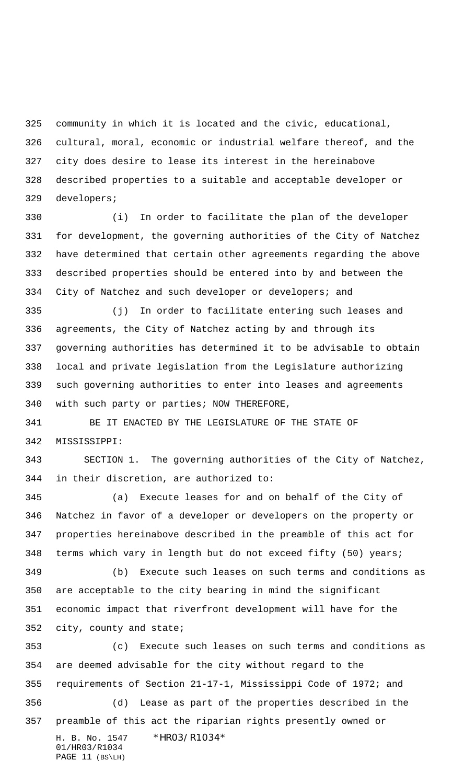community in which it is located and the civic, educational, cultural, moral, economic or industrial welfare thereof, and the city does desire to lease its interest in the hereinabove described properties to a suitable and acceptable developer or developers;

 (i) In order to facilitate the plan of the developer for development, the governing authorities of the City of Natchez have determined that certain other agreements regarding the above described properties should be entered into by and between the City of Natchez and such developer or developers; and

 (j) In order to facilitate entering such leases and agreements, the City of Natchez acting by and through its governing authorities has determined it to be advisable to obtain local and private legislation from the Legislature authorizing such governing authorities to enter into leases and agreements with such party or parties; NOW THEREFORE,

341 BE IT ENACTED BY THE LEGISLATURE OF THE STATE OF MISSISSIPPI:

 SECTION 1. The governing authorities of the City of Natchez, in their discretion, are authorized to:

 (a) Execute leases for and on behalf of the City of Natchez in favor of a developer or developers on the property or properties hereinabove described in the preamble of this act for terms which vary in length but do not exceed fifty (50) years;

 (b) Execute such leases on such terms and conditions as are acceptable to the city bearing in mind the significant economic impact that riverfront development will have for the city, county and state;

H. B. No. 1547 \*HR03/R1034\* 01/HR03/R1034 PAGE 11 (BS\LH) (c) Execute such leases on such terms and conditions as are deemed advisable for the city without regard to the requirements of Section 21-17-1, Mississippi Code of 1972; and (d) Lease as part of the properties described in the preamble of this act the riparian rights presently owned or